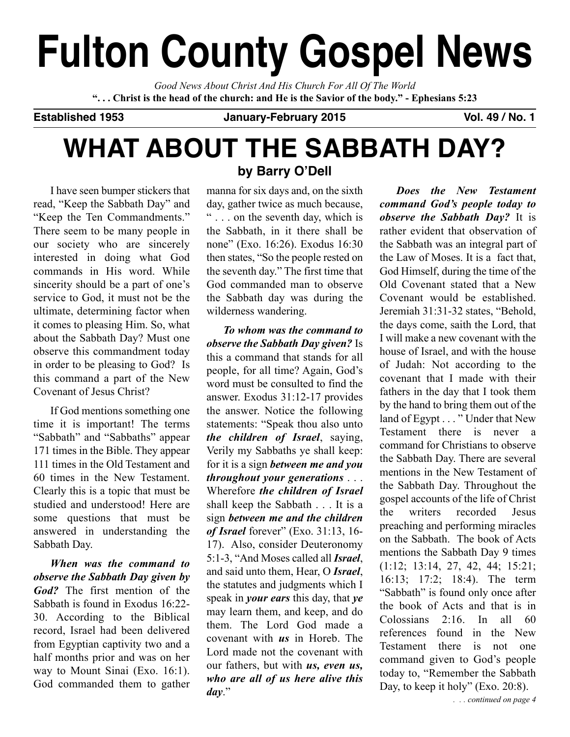# **Fulton County Gospel News**

*Good News About Christ And His Church For All Of The World* "... Christ is the head of the church: and He is the Savior of the body." - Ephesians 5:23

**Established 1953 January-February 2015 Vol. 49 / No. 1**

# **WHAT ABOUT THE SABBATH DAY?**

I have seen bumper stickers that read, "Keep the Sabbath Day" and "Keep the Ten Commandments." There seem to be many people in our society who are sincerely interested in doing what God commands in His word. While sincerity should be a part of one's service to God, it must not be the ultimate, determining factor when it comes to pleasing Him. So, what about the Sabbath Day? Must one observe this commandment today in order to be pleasing to God? Is this command a part of the New Covenant of Jesus Christ?

If God mentions something one time it is important! The terms "Sabbath" and "Sabbaths" appear 171 times in the Bible. They appear 111 times in the Old Testament and 60 times in the New Testament. Clearly this is a topic that must be studied and understood! Here are some questions that must be answered in understanding the Sabbath Day.

*When was the command to observe the Sabbath Day given by God?* The first mention of the Sabbath is found in Exodus 16:22- 30. According to the Biblical record, Israel had been delivered from Egyptian captivity two and a half months prior and was on her way to Mount Sinai (Exo. 16:1). God commanded them to gather

# **by Barry O'Dell**

manna for six days and, on the sixth day, gather twice as much because, " . . . on the seventh day, which is the Sabbath, in it there shall be none" (Exo. 16:26). Exodus 16:30 then states, "So the people rested on the seventh day." The first time that God commanded man to observe the Sabbath day was during the wilderness wandering.

*To whom was the command to observe the Sabbath Day given?* Is this a command that stands for all people, for all time? Again, God's word must be consulted to find the answer. Exodus 31:12-17 provides the answer. Notice the following statements: "Speak thou also unto *the children of Israel*, saying, Verily my Sabbaths ye shall keep: for it is a sign *between me and you throughout your generations* . . . Wherefore *the children of Israel* shall keep the Sabbath . . . It is a sign *between me and the children of Israel* forever" (Exo. 31:13, 16- 17). Also, consider Deuteronomy 5:1-3, "And Moses called all *Israel*, and said unto them, Hear, O *Israel*, the statutes and judgments which I speak in *your ears* this day, that *ye* may learn them, and keep, and do them. The Lord God made a covenant with *us* in Horeb. The Lord made not the covenant with our fathers, but with *us, even us, who are all of us here alive this day*."

*Does the New Testament command God's people today to observe the Sabbath Day?* It is rather evident that observation of the Sabbath was an integral part of the Law of Moses. It is a fact that, God Himself, during the time of the Old Covenant stated that a New Covenant would be established. Jeremiah 31:31-32 states, "Behold, the days come, saith the Lord, that I will make a new covenant with the house of Israel, and with the house of Judah: Not according to the covenant that I made with their fathers in the day that I took them by the hand to bring them out of the land of Egypt . . . " Under that New Testament there is never a command for Christians to observe the Sabbath Day. There are several mentions in the New Testament of the Sabbath Day. Throughout the gospel accounts of the life of Christ the writers recorded Jesus preaching and performing miracles on the Sabbath. The book of Acts mentions the Sabbath Day 9 times (1:12; 13:14, 27, 42, 44; 15:21; 16:13; 17:2; 18:4). The term "Sabbath" is found only once after the book of Acts and that is in Colossians 2:16. In all 60 references found in the New Testament there is not one command given to God's people today to, "Remember the Sabbath Day, to keep it holy" (Exo. 20:8).

*. . . continued on page 4*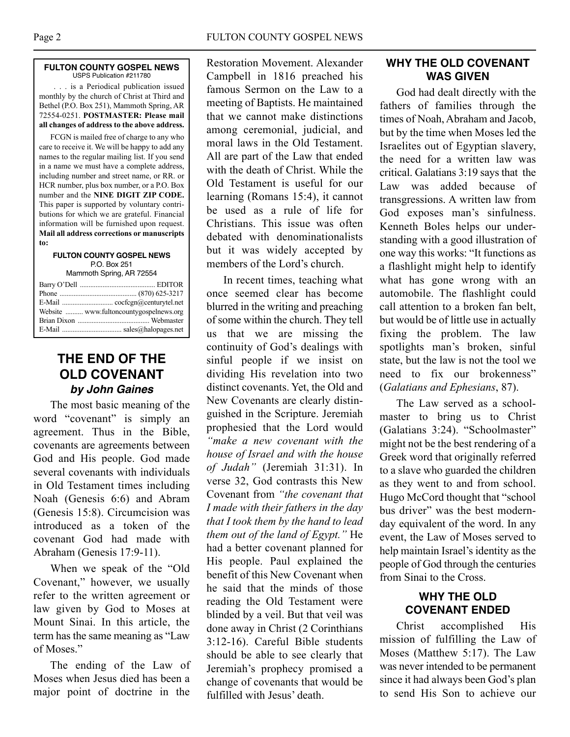#### **FULTON COUNTY GOSPEL NEWS** USPS Publication #211780

. . . is a Periodical publication issued monthly by the church of Christ at Third and Bethel (P.O. Box 251), Mammoth Spring, AR 72554-0251. **POSTMASTER: Please mail all changes of address to the above address.**

FCGN is mailed free of charge to any who care to receive it. We will be happy to add any names to the regular mailing list. If you send in a name we must have a complete address, including number and street name, or RR. or HCR number, plus box number, or a P.O. Box number and the **NINE DIGIT ZIP CODE.** This paper is supported by voluntary contributions for which we are grateful. Financial information will be furnished upon request. **Mail all address corrections or manuscripts to:**

#### **FULTON COUNTY GOSPEL NEWS** P.O. Box 251

Mammoth Spring, AR 72554

| Website  www.fultoncountygospelnews.org |  |
|-----------------------------------------|--|
|                                         |  |
|                                         |  |

# **THE END OF THE OLD COVENANT by John Gaines**

The most basic meaning of the word "covenant" is simply an agreement. Thus in the Bible, covenants are agreements between God and His people. God made several covenants with individuals in Old Testament times including Noah (Genesis 6:6) and Abram (Genesis 15:8). Circumcision was introduced as a token of the covenant God had made with Abraham (Genesis 17:9-11).

When we speak of the "Old Covenant," however, we usually refer to the written agreement or law given by God to Moses at Mount Sinai. In this article, the term has the same meaning as "Law of Moses."

The ending of the Law of Moses when Jesus died has been a major point of doctrine in the

Restoration Movement. Alexander Campbell in 1816 preached his famous Sermon on the Law to a meeting of Baptists. He maintained that we cannot make distinctions among ceremonial, judicial, and moral laws in the Old Testament. All are part of the Law that ended with the death of Christ. While the Old Testament is useful for our learning (Romans 15:4), it cannot be used as a rule of life for Christians. This issue was often debated with denominationalists but it was widely accepted by members of the Lord's church.

In recent times, teaching what once seemed clear has become blurred in the writing and preaching of some within the church. They tell us that we are missing the continuity of God's dealings with sinful people if we insist on dividing His revelation into two distinct covenants. Yet, the Old and New Covenants are clearly distinguished in the Scripture. Jeremiah prophesied that the Lord would *"make a new covenant with the house of Israel and with the house of Judah"* (Jeremiah 31:31). In verse 32, God contrasts this New Covenant from *"the covenant that I made with their fathers in the day that I took them by the hand to lead them out of the land of Egypt."* He had a better covenant planned for His people. Paul explained the benefit of this New Covenant when he said that the minds of those reading the Old Testament were blinded by a veil. But that veil was done away in Christ (2 Corinthians 3:12-16). Careful Bible students should be able to see clearly that Jeremiah's prophecy promised a change of covenants that would be fulfilled with Jesus' death

# **WHY THE OLD COVENANT WAS GIVEN**

God had dealt directly with the fathers of families through the times of Noah, Abraham and Jacob, but by the time when Moses led the Israelites out of Egyptian slavery, the need for a written law was critical. Galatians 3:19 says that the Law was added because of transgressions. A written law from God exposes man's sinfulness. Kenneth Boles helps our understanding with a good illustration of one way this works: "It functions as a flashlight might help to identify what has gone wrong with an automobile. The flashlight could call attention to a broken fan belt, but would be of little use in actually fixing the problem. The law spotlights man's broken, sinful state, but the law is not the tool we need to fix our brokenness" (*Galatians and Ephesians*, 87).

The Law served as a schoolmaster to bring us to Christ (Galatians 3:24). "Schoolmaster" might not be the best rendering of a Greek word that originally referred to a slave who guarded the children as they went to and from school. Hugo McCord thought that "school bus driver" was the best modernday equivalent of the word. In any event, the Law of Moses served to help maintain Israel's identity as the people of God through the centuries from Sinai to the Cross.

## **WHY THE OLD COVENANT ENDED**

Christ accomplished His mission of fulfilling the Law of Moses (Matthew 5:17). The Law was never intended to be permanent since it had always been God's plan to send His Son to achieve our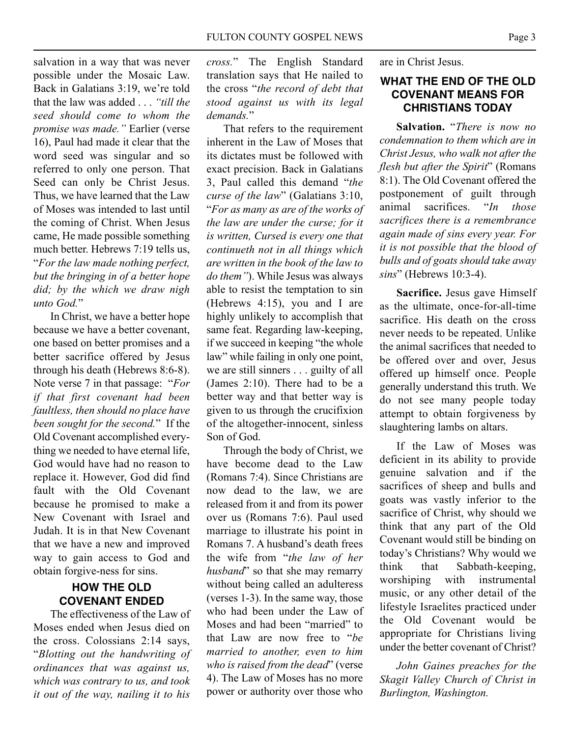salvation in a way that was never possible under the Mosaic Law. Back in Galatians 3:19, we're told that the law was added . . . *"till the seed should come to whom the promise was made."* Earlier (verse 16), Paul had made it clear that the word seed was singular and so referred to only one person. That Seed can only be Christ Jesus. Thus, we have learned that the Law of Moses was intended to last until the coming of Christ. When Jesus came, He made possible something much better. Hebrews 7:19 tells us, "*For the law made nothing perfect, but the bringing in of a better hope did; by the which we draw nigh unto God.*"

In Christ, we have a better hope because we have a better covenant, one based on better promises and a better sacrifice offered by Jesus through his death (Hebrews 8:6-8). Note verse 7 in that passage: "*For if that first covenant had been faultless, then should no place have been sought for the second.*" If the Old Covenant accomplished everything we needed to have eternal life, God would have had no reason to replace it. However, God did find fault with the Old Covenant because he promised to make a New Covenant with Israel and Judah. It is in that New Covenant that we have a new and improved way to gain access to God and obtain forgive-ness for sins.

# **HOW THE OLD COVENANT ENDED**

The effectiveness of the Law of Moses ended when Jesus died on the cross. Colossians 2:14 says, "*Blotting out the handwriting of ordinances that was against us, which was contrary to us, and took it out of the way, nailing it to his*

*cross.*" The English Standard translation says that He nailed to the cross "*the record of debt that stood against us with its legal demands.*"

That refers to the requirement inherent in the Law of Moses that its dictates must be followed with exact precision. Back in Galatians 3, Paul called this demand "*the curse of the law*" (Galatians 3:10, "*For as many as are of the works of the law are under the curse; for it is written, Cursed is every one that continueth not in all things which are written in the book of the law to do them"*). While Jesus was always able to resist the temptation to sin (Hebrews 4:15), you and I are highly unlikely to accomplish that same feat. Regarding law-keeping, if we succeed in keeping "the whole law" while failing in only one point, we are still sinners . . . guilty of all (James 2:10). There had to be a better way and that better way is given to us through the crucifixion of the altogether-innocent, sinless Son of God.

Through the body of Christ, we have become dead to the Law (Romans 7:4). Since Christians are now dead to the law, we are released from it and from its power over us (Romans 7:6). Paul used marriage to illustrate his point in Romans 7. A husband's death frees the wife from "*the law of her husband*" so that she may remarry without being called an adulteress (verses 1-3). In the same way, those who had been under the Law of Moses and had been "married" to that Law are now free to "*be married to another, even to him who is raised from the dead*" (verse 4). The Law of Moses has no more power or authority over those who are in Christ Jesus.

### **WHAT THE END OF THE OLD COVENANT MEANS FOR CHRISTIANS TODAY**

**Salvation.** "*There is now no condemnation to them which are in Christ Jesus, who walk not after the flesh but after the Spirit*" (Romans 8:1). The Old Covenant offered the postponement of guilt through animal sacrifices. "*In those sacrifices there is a remembrance again made of sins every year. For it is not possible that the blood of bulls and of goats should take away sins*" (Hebrews 10:3-4).

**Sacrifice.** Jesus gave Himself as the ultimate, once-for-all-time sacrifice. His death on the cross never needs to be repeated. Unlike the animal sacrifices that needed to be offered over and over, Jesus offered up himself once. People generally understand this truth. We do not see many people today attempt to obtain forgiveness by slaughtering lambs on altars.

If the Law of Moses was deficient in its ability to provide genuine salvation and if the sacrifices of sheep and bulls and goats was vastly inferior to the sacrifice of Christ, why should we think that any part of the Old Covenant would still be binding on today's Christians? Why would we think that Sabbath-keeping, worshiping with instrumental music, or any other detail of the lifestyle Israelites practiced under the Old Covenant would be appropriate for Christians living under the better covenant of Christ?

*John Gaines preaches for the Skagit Valley Church of Christ in Burlington, Washington.*